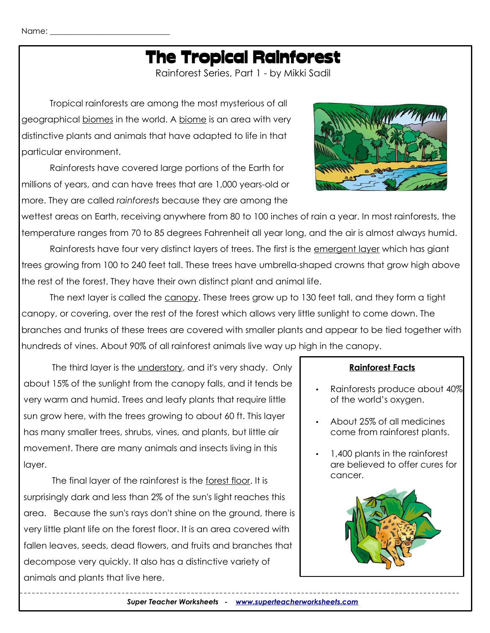## The Tropical Rainforest

Rainforest Series, Part 1 - by Mikki Sadil

Tropical rainforests are among the most mysterious of all geographical biomes in the world. A biome is an area with very distinctive plants and animals that have adapted to life in that particular environment.

Rainforests have covered large portions of the Earth for millions of years, and can have trees that are 1,000 years-old or more. They are called *rainforests* because they are among the

wettest areas on Earth, receiving anywhere from 80 to 100 inches of rain a year. In most rainforests, the temperature ranges from 70 to 85 degrees Fahrenheit all year long, and the air is almost always humid.

Rainforests have four very distinct layers of trees. The first is the emergent layer which has giant trees growing from 100 to 240 feet tall. These trees have umbrella-shaped crowns that grow high above the rest of the forest. They have their own distinct plant and animal life.

The next layer is called the canopy. These trees grow up to 130 feet tall, and they form a tight canopy, or covering, over the rest of the forest which allows very little sunlight to come down. The branches and trunks of these trees are covered with smaller plants and appear to be tied together with hundreds of vines. About 90% of all rainforest animals live way up high in the canopy.

The third layer is the understory, and it's very shady. Only about 15% of the sunlight from the canopy falls, and it tends be very warm and humid. Trees and leafy plants that require little sun grow here, with the trees growing to about 60 ft. This layer has many smaller trees, shrubs, vines, and plants, but little air movement. There are many animals and insects living in this layer.

The final layer of the rainforest is the forest floor. It is surprisingly dark and less than 2% of the sun's light reaches this area. Because the sun's rays don't shine on the ground, there is very little plant life on the forest floor. It is an area covered with fallen leaves, seeds, dead flowers, and fruits and branches that decompose very quickly. It also has a distinctive variety of animals and plants that live here.

#### **Rainforest Facts**

- Rainforests produce about 40% of the world's oxygen.
- About 25% of all medicines come from rainforest plants.
- 1,400 plants in the rainforest are believed to offer cures for cancer.



*Super Teacher Worksheets - [www.superteacherworksheets.com](http://www.superteacherworksheets.com/)*

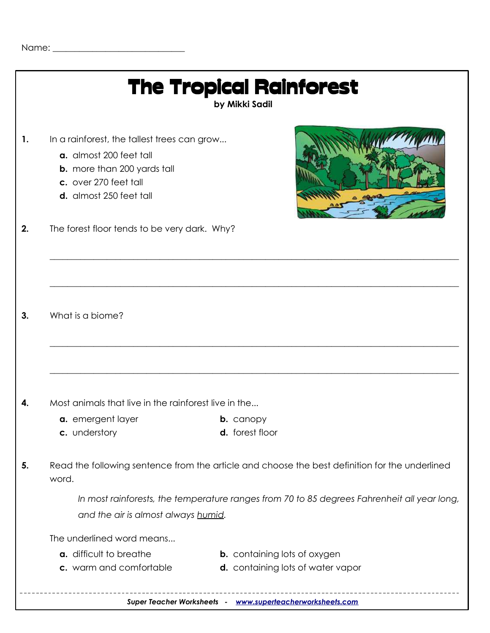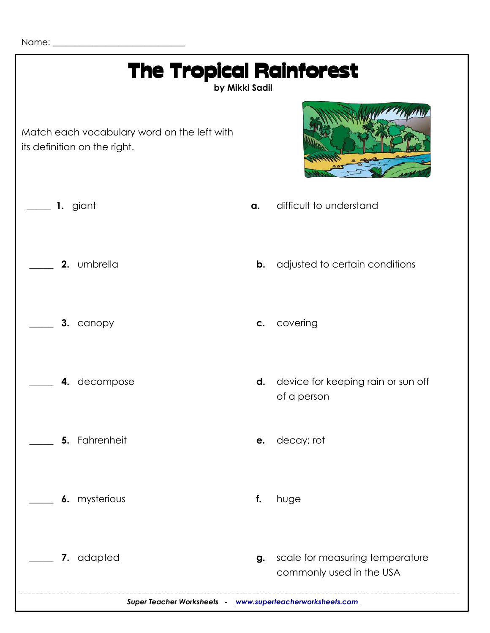Name: \_\_\_\_\_\_\_\_\_\_\_\_\_\_\_\_\_\_\_\_\_\_\_\_\_\_\_\_\_\_

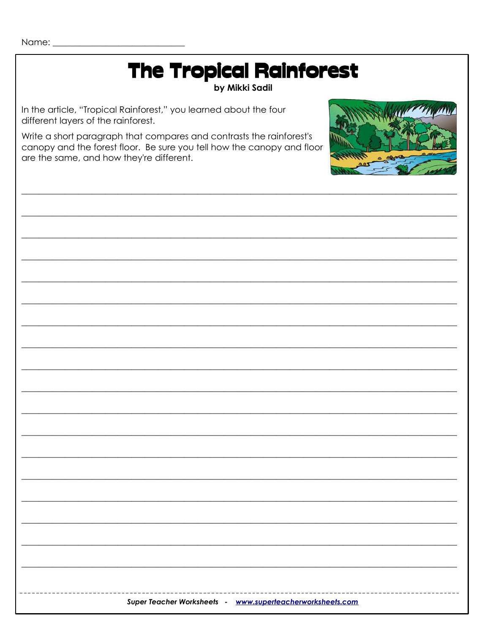Name: $\_\_$ 

# The Tropical Rainforest

#### by Mikki Sadil

In the article, "Tropical Rainforest," you learned about the four different layers of the rainforest.

Write a short paragraph that compares and contrasts the rainforest's canopy and the forest floor. Be sure you tell how the canopy and floor are the same, and how they're different.



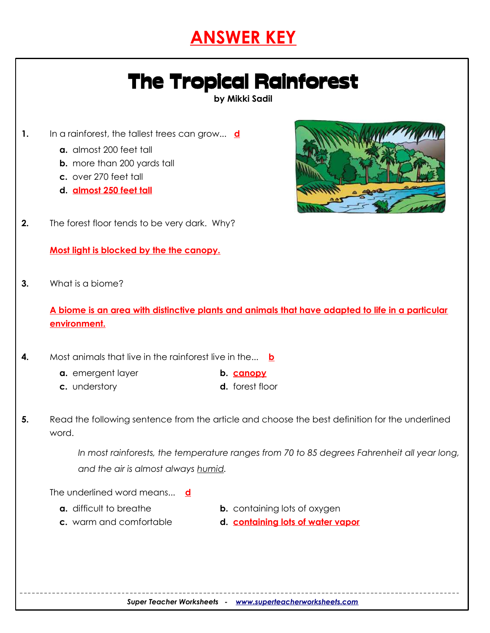### **ANSWER KEY**

## The Tropical Rainforest

**by Mikki Sadil**

- **1.** In a rainforest, the tallest trees can grow... **d**
	- **a.** almost 200 feet tall
	- **b.** more than 200 yards tall
	- **c.** over 270 feet tall
	- **d. almost 250 feet tall**



**2.** The forest floor tends to be very dark. Why?

**Most light is blocked by the the canopy.**

**3.** What is a biome?

**A biome is an area with distinctive plants and animals that have adapted to life in a particular environment.**

- **4.** Most animals that live in the rainforest live in the... **b**
	- **a.** emergent layer **b. canopy**
	- **c.** understory **d.** forest floor
- -
- **5.** Read the following sentence from the article and choose the best definition for the underlined word.

*In most rainforests, the temperature ranges from 70 to 85 degrees Fahrenheit all year long, and the air is almost always humid.*

The underlined word means... **d**

- 
- **a.** difficult to breathe **b.** containing lots of oxygen
- 
- **c.** warm and comfortable **d. containing lots of water vapor**

*Super Teacher Worksheets - [www.superteacherworksheets.com](http://www.superteacherworksheets.com/)*